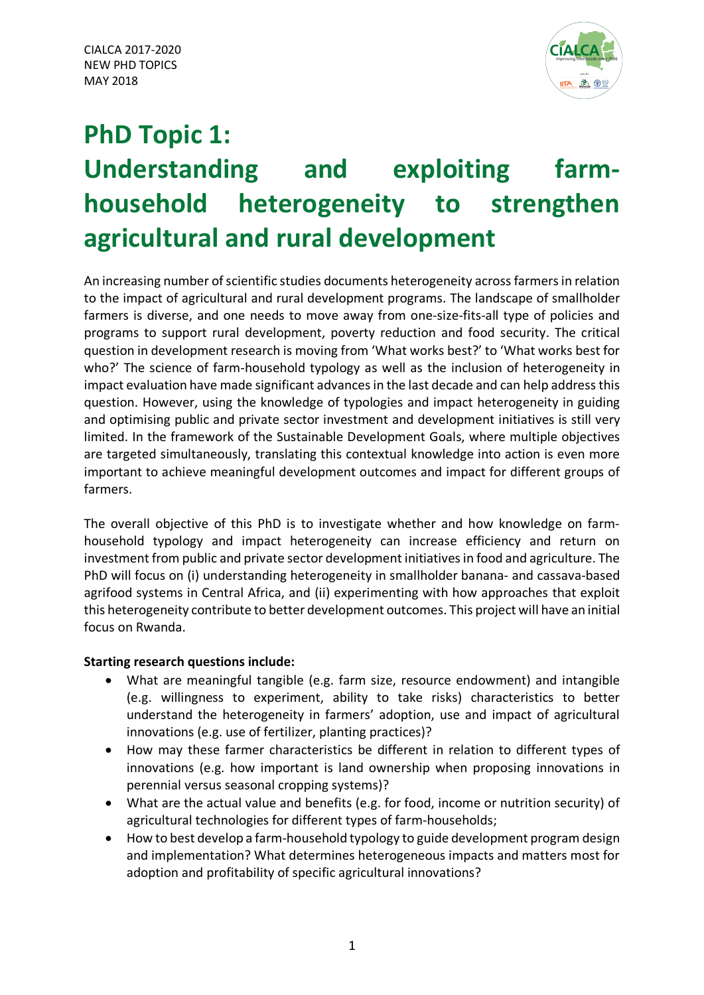

# **PhD Topic 1: Understanding and exploiting farmhousehold heterogeneity to strengthen agricultural and rural development**

An increasing number of scientific studies documents heterogeneity across farmers in relation to the impact of agricultural and rural development programs. The landscape of smallholder farmers is diverse, and one needs to move away from one-size-fits-all type of policies and programs to support rural development, poverty reduction and food security. The critical question in development research is moving from 'What works best?' to 'What works best for who?' The science of farm-household typology as well as the inclusion of heterogeneity in impact evaluation have made significant advances in the last decade and can help address this question. However, using the knowledge of typologies and impact heterogeneity in guiding and optimising public and private sector investment and development initiatives is still very limited. In the framework of the Sustainable Development Goals, where multiple objectives are targeted simultaneously, translating this contextual knowledge into action is even more important to achieve meaningful development outcomes and impact for different groups of farmers.

The overall objective of this PhD is to investigate whether and how knowledge on farmhousehold typology and impact heterogeneity can increase efficiency and return on investment from public and private sector development initiatives in food and agriculture. The PhD will focus on (i) understanding heterogeneity in smallholder banana- and cassava-based agrifood systems in Central Africa, and (ii) experimenting with how approaches that exploit this heterogeneity contribute to better development outcomes. This project will have an initial focus on Rwanda.

# **Starting research questions include:**

- What are meaningful tangible (e.g. farm size, resource endowment) and intangible (e.g. willingness to experiment, ability to take risks) characteristics to better understand the heterogeneity in farmers' adoption, use and impact of agricultural innovations (e.g. use of fertilizer, planting practices)?
- How may these farmer characteristics be different in relation to different types of innovations (e.g. how important is land ownership when proposing innovations in perennial versus seasonal cropping systems)?
- What are the actual value and benefits (e.g. for food, income or nutrition security) of agricultural technologies for different types of farm-households;
- How to best develop a farm-household typology to guide development program design and implementation? What determines heterogeneous impacts and matters most for adoption and profitability of specific agricultural innovations?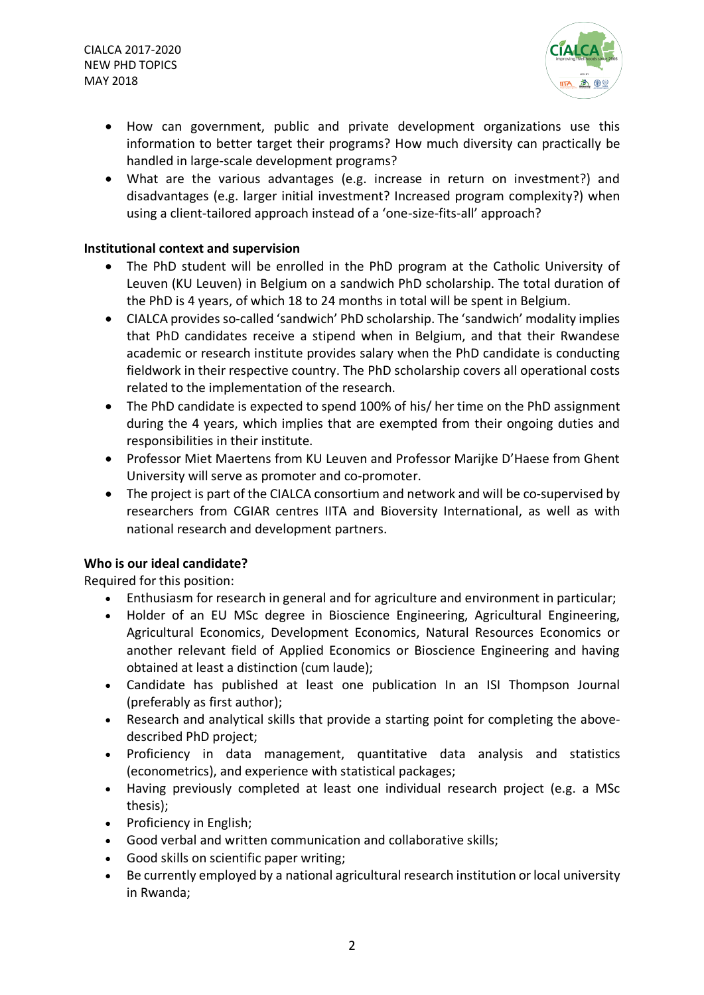CIALCA 2017-2020 NEW PHD TOPICS MAY 2018



- How can government, public and private development organizations use this information to better target their programs? How much diversity can practically be handled in large-scale development programs?
- What are the various advantages (e.g. increase in return on investment?) and disadvantages (e.g. larger initial investment? Increased program complexity?) when using a client-tailored approach instead of a 'one-size-fits-all' approach?

### **Institutional context and supervision**

- The PhD student will be enrolled in the PhD program at the Catholic University of Leuven (KU Leuven) in Belgium on a sandwich PhD scholarship. The total duration of the PhD is 4 years, of which 18 to 24 months in total will be spent in Belgium.
- CIALCA provides so-called 'sandwich' PhD scholarship. The 'sandwich' modality implies that PhD candidates receive a stipend when in Belgium, and that their Rwandese academic or research institute provides salary when the PhD candidate is conducting fieldwork in their respective country. The PhD scholarship covers all operational costs related to the implementation of the research.
- The PhD candidate is expected to spend 100% of his/ her time on the PhD assignment during the 4 years, which implies that are exempted from their ongoing duties and responsibilities in their institute.
- Professor Miet Maertens from KU Leuven and Professor Marijke D'Haese from Ghent University will serve as promoter and co-promoter.
- The project is part of the CIALCA consortium and network and will be co-supervised by researchers from CGIAR centres IITA and Bioversity International, as well as with national research and development partners.

# **Who is our ideal candidate?**

Required for this position:

- Enthusiasm for research in general and for agriculture and environment in particular;
- Holder of an EU MSc degree in Bioscience Engineering, Agricultural Engineering, Agricultural Economics, Development Economics, Natural Resources Economics or another relevant field of Applied Economics or Bioscience Engineering and having obtained at least a distinction (cum laude);
- Candidate has published at least one publication In an ISI Thompson Journal (preferably as first author);
- Research and analytical skills that provide a starting point for completing the abovedescribed PhD project;
- Proficiency in data management, quantitative data analysis and statistics (econometrics), and experience with statistical packages;
- Having previously completed at least one individual research project (e.g. a MSc thesis);
- Proficiency in English;
- Good verbal and written communication and collaborative skills;
- Good skills on scientific paper writing;
- Be currently employed by a national agricultural research institution or local university in Rwanda;